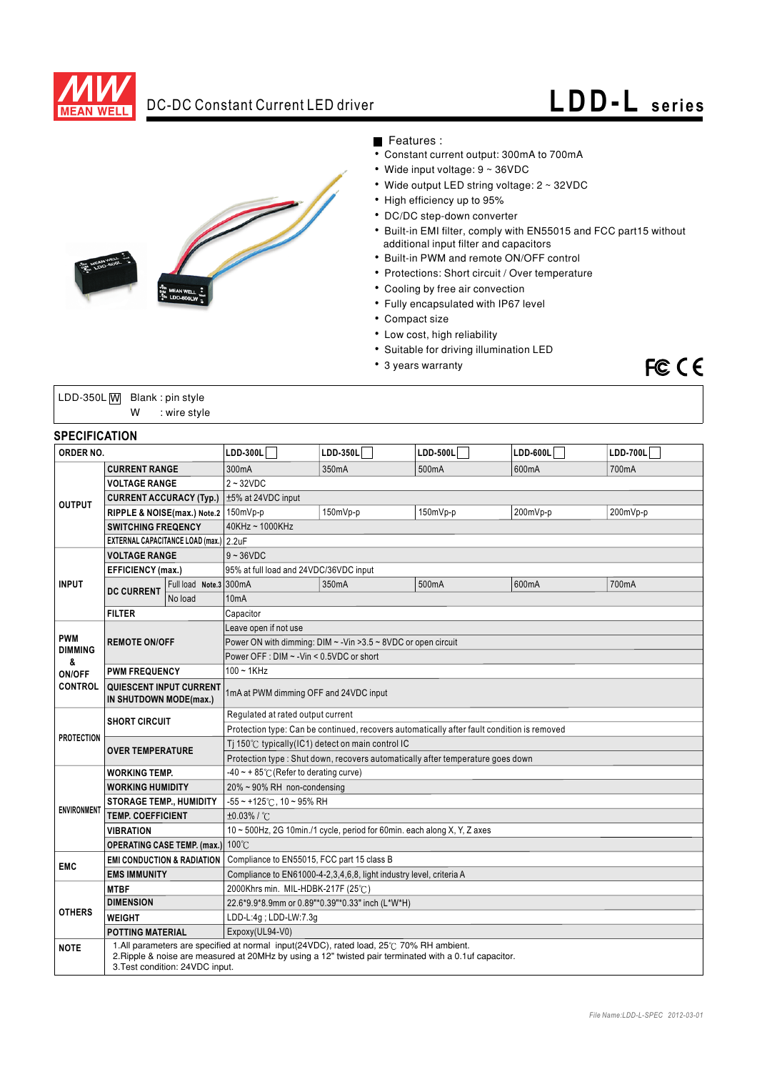

# DC-DC Constant Current LED driver **LDD-L series**

FCCE



### Features :

- Constant current output: 300mA to 700mA
- Wide input voltage: 9 ~ 36VDC
- Wide output LED string voltage: 2 ~ 32VDC
- High efficiency up to 95%
- DC/DC step-down converter
- Built-in EMI filter, comply with EN55015 and FCC part15 without additional input filter and capacitors
- Built-in PWM and remote ON/OFF control
- Protections: Short circuit / Over temperature
- Cooling by free air convection
- Fully encapsulated with IP67 level
- Compact size
- Low cost, high reliability
- Suitable for driving illumination LED
- 3 years warranty

| LDD-350L $\overline{W}$ Blank: pin style |   |              |  |
|------------------------------------------|---|--------------|--|
|                                          | w | : wire style |  |

### **SPECIFICATION**

| יושו בשווושם וט<br>ORDER NO.   |                                                                                                                                                                                                                                      | $LDD-300L$                                                                                 | $LDD-350L$                                                                      | $LDD-500L$                  | $LDD-600L$ | $LDD-700L$ |          |  |
|--------------------------------|--------------------------------------------------------------------------------------------------------------------------------------------------------------------------------------------------------------------------------------|--------------------------------------------------------------------------------------------|---------------------------------------------------------------------------------|-----------------------------|------------|------------|----------|--|
| <b>CURRENT RANGE</b>           |                                                                                                                                                                                                                                      | 300mA                                                                                      | 350mA                                                                           | 500mA                       | 600mA      | 700mA      |          |  |
|                                | <b>VOLTAGE RANGE</b>                                                                                                                                                                                                                 |                                                                                            | $2 - 32VDC$                                                                     |                             |            |            |          |  |
| <b>CURRENT ACCURACY (Typ.)</b> |                                                                                                                                                                                                                                      | $±5\%$ at 24VDC input                                                                      |                                                                                 |                             |            |            |          |  |
|                                | <b>OUTPUT</b><br>RIPPLE & NOISE(max.) Note.2   150mVp-p<br><b>SWITCHING FREQENCY</b>                                                                                                                                                 |                                                                                            |                                                                                 | 150mVp-p                    | 150mVp-p   | 200mVp-p   | 200mVp-p |  |
|                                |                                                                                                                                                                                                                                      |                                                                                            | $40$ KHz ~ $1000$ KHz                                                           |                             |            |            |          |  |
|                                | EXTERNAL CAPACITANCE LOAD (max.) 2.2uF                                                                                                                                                                                               |                                                                                            |                                                                                 |                             |            |            |          |  |
|                                | <b>VOLTAGE RANGE</b>                                                                                                                                                                                                                 |                                                                                            | $9 - 36 VDC$                                                                    |                             |            |            |          |  |
|                                | <b>EFFICIENCY (max.)</b>                                                                                                                                                                                                             |                                                                                            | 95% at full load and 24VDC/36VDC input                                          |                             |            |            |          |  |
| <b>INPUT</b>                   | <b>DC CURRENT</b>                                                                                                                                                                                                                    | Full load Note.3 300mA                                                                     |                                                                                 | 350mA                       | 500mA      | 600mA      | 700mA    |  |
|                                |                                                                                                                                                                                                                                      | No load                                                                                    | 10 <sub>m</sub> A                                                               |                             |            |            |          |  |
|                                | <b>FILTER</b>                                                                                                                                                                                                                        |                                                                                            | Capacitor                                                                       |                             |            |            |          |  |
|                                |                                                                                                                                                                                                                                      |                                                                                            | Leave open if not use                                                           |                             |            |            |          |  |
| <b>PWM</b>                     | <b>REMOTE ON/OFF</b>                                                                                                                                                                                                                 |                                                                                            | Power ON with dimming: DIM ~ - Vin > 3.5 ~ 8VDC or open circuit                 |                             |            |            |          |  |
| <b>DIMMING</b><br>&            |                                                                                                                                                                                                                                      | Power OFF : DIM ~ - Vin < 0.5VDC or short                                                  |                                                                                 |                             |            |            |          |  |
| ON/OFF                         | <b>PWM FREQUENCY</b>                                                                                                                                                                                                                 |                                                                                            | $100 - 1$ KHz                                                                   |                             |            |            |          |  |
| <b>CONTROL</b>                 | QUIESCENT INPUT CURRENT<br>IN SHUTDOWN MODE(max.)                                                                                                                                                                                    |                                                                                            | 1mA at PWM dimming OFF and 24VDC input                                          |                             |            |            |          |  |
| <b>SHORT CIRCUIT</b>           |                                                                                                                                                                                                                                      | Regulated at rated output current                                                          |                                                                                 |                             |            |            |          |  |
|                                |                                                                                                                                                                                                                                      | Protection type: Can be continued, recovers automatically after fault condition is removed |                                                                                 |                             |            |            |          |  |
|                                | <b>PROTECTION</b><br><b>OVER TEMPERATURE</b>                                                                                                                                                                                         |                                                                                            | Ti 150 $\degree$ C typically(IC1) detect on main control IC                     |                             |            |            |          |  |
|                                |                                                                                                                                                                                                                                      |                                                                                            | Protection type : Shut down, recovers automatically after temperature goes down |                             |            |            |          |  |
|                                | <b>WORKING TEMP.</b>                                                                                                                                                                                                                 | -40 ~ + 85 $\degree$ C (Refer to derating curve)                                           |                                                                                 |                             |            |            |          |  |
|                                | <b>WORKING HUMIDITY</b>                                                                                                                                                                                                              |                                                                                            |                                                                                 | 20% ~ 90% RH non-condensing |            |            |          |  |
| <b>ENVIRONMENT</b>             | <b>STORAGE TEMP., HUMIDITY</b>                                                                                                                                                                                                       |                                                                                            | $-55$ ~ +125°C, 10 ~ 95% RH                                                     |                             |            |            |          |  |
|                                | <b>TEMP. COEFFICIENT</b><br><b>VIBRATION</b>                                                                                                                                                                                         |                                                                                            | $\pm 0.03\%$ / $\degree$ C                                                      |                             |            |            |          |  |
|                                |                                                                                                                                                                                                                                      |                                                                                            | 10 ~ 500Hz, 2G 10min./1 cycle, period for 60min. each along X, Y, Z axes        |                             |            |            |          |  |
|                                | OPERATING CASE TEMP. (max.) 100°C                                                                                                                                                                                                    |                                                                                            |                                                                                 |                             |            |            |          |  |
| <b>EMC</b>                     | <b>EMI CONDUCTION &amp; RADIATION</b>                                                                                                                                                                                                |                                                                                            | Compliance to EN55015, FCC part 15 class B                                      |                             |            |            |          |  |
|                                | <b>EMS IMMUNITY</b>                                                                                                                                                                                                                  |                                                                                            | Compliance to EN61000-4-2,3,4,6,8, light industry level, criteria A             |                             |            |            |          |  |
|                                | <b>MTBF</b>                                                                                                                                                                                                                          |                                                                                            | 2000Khrs min. MIL-HDBK-217F (25°C)                                              |                             |            |            |          |  |
| <b>OTHERS</b>                  | <b>DIMENSION</b>                                                                                                                                                                                                                     |                                                                                            | 22.6*9.9*8.9mm or 0.89"*0.39"*0.33" inch (L*W*H)                                |                             |            |            |          |  |
|                                | <b>WEIGHT</b>                                                                                                                                                                                                                        |                                                                                            | LDD-L:4g; LDD-LW:7.3g                                                           |                             |            |            |          |  |
|                                | <b>POTTING MATERIAL</b>                                                                                                                                                                                                              |                                                                                            | Expoxy(UL94-V0)                                                                 |                             |            |            |          |  |
| <b>NOTE</b>                    | 1.All parameters are specified at normal input(24VDC), rated load, 25°C 70% RH ambient.<br>2. Ripple & noise are measured at 20MHz by using a 12" twisted pair terminated with a 0.1uf capacitor.<br>3. Test condition: 24VDC input. |                                                                                            |                                                                                 |                             |            |            |          |  |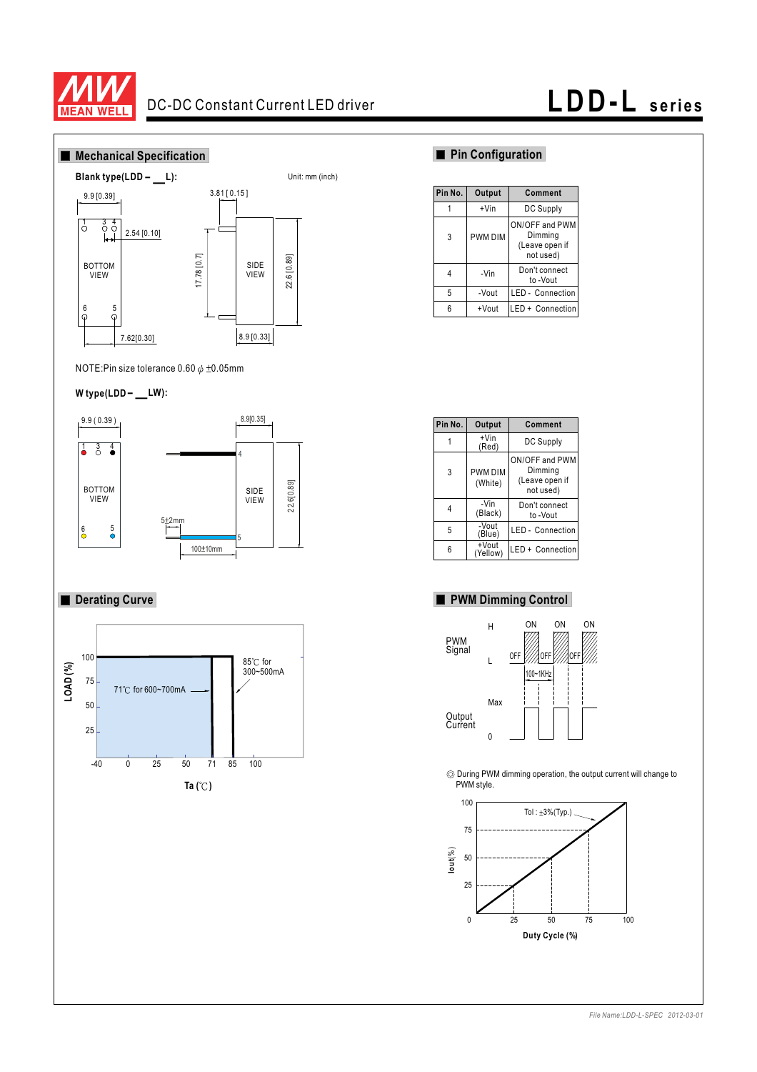

## DC-DC Constant Current LED driver **LDD-L series**



NOTE:Pin size tolerance  $0.60 \phi \pm 0.05$ mm

## tole<br>
— **W type(LDD LW):**



### **Derating Curve**



| Pin No. | Output  | Comment                                                  |
|---------|---------|----------------------------------------------------------|
|         | $+V$ in | DC Supply                                                |
| 3       | PWM DIM | ON/OFF and PWM<br>Dimming<br>(Leave open if<br>not used) |
| 4       | -Vin    | Don't connect<br>to-Vout                                 |
| 5       | -Vout   | LED - Connection                                         |
| 6       | +Vout   | LED + Connection                                         |

| Pin No. | Output                    | Comment                                                  |
|---------|---------------------------|----------------------------------------------------------|
|         | $+V$ in<br>(Red)          | DC Supply                                                |
| 3       | <b>PWM DIM</b><br>(White) | ON/OFF and PWM<br>Dimming<br>(Leave open if<br>not used) |
| 4       | -Vin<br>(Black)           | Don't connect<br>to -Vout                                |
| 5       | -Vout<br>(Blue)           | <b>LED</b> - Connection                                  |
| 6       | +Vout<br>(Yellow)         | LED + Connection                                         |

### **PWM Dimming Control**



During PWM dimming operation, the output current will change to PWM style.